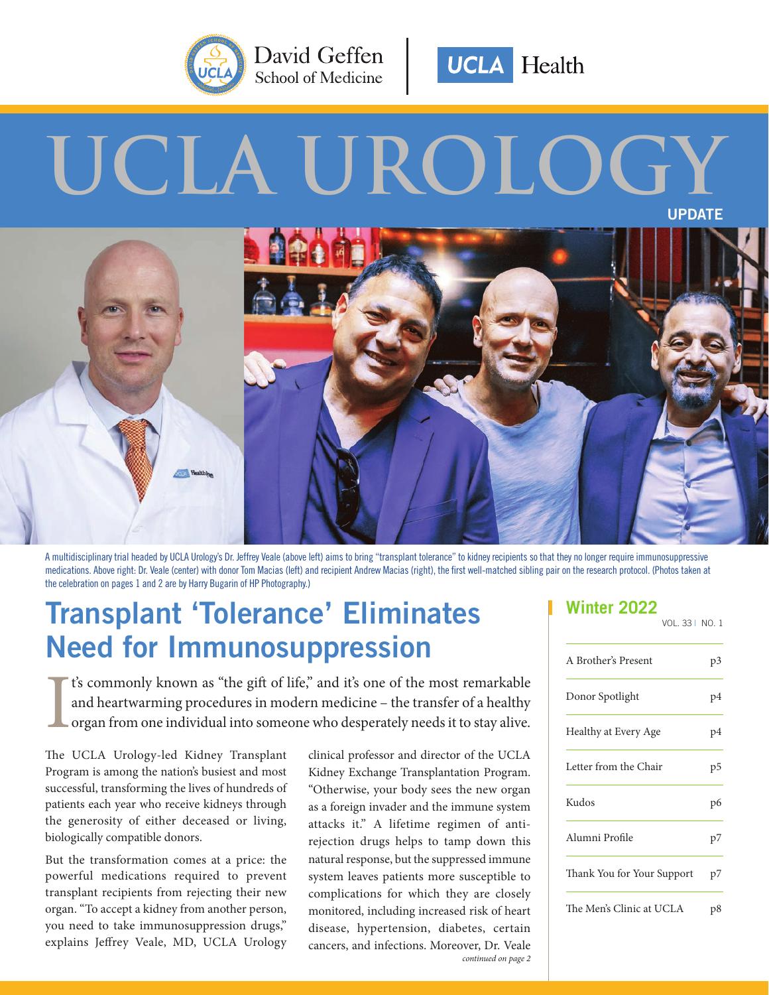



# **UCLA UROLOGY**



A multidisciplinary trial headed by UCLA Urology's Dr. Jeffrey Veale (above left) aims to bring "transplant tolerance" to kidney recipients so that they no longer require immunosuppressive medications. Above right: Dr. Veale (center) with donor Tom Macias (left) and recipient Andrew Macias (right), the first well-matched sibling pair on the research protocol. (Photos taken at the celebration on pages 1 and 2 are by Harry Bugarin of HP Photography.)

## **Transplant 'Tolerance' Eliminates Need for Immunosuppression**

I t's commonly known as "the gift of life," and it's one of the most remarkable and heartwarming procedures in modern medicine – the transfer of a healthy organ from one individual into someone who desperately needs it to stay alive.

The UCLA Urology-led Kidney Transplant Program is among the nation's busiest and most successful, transforming the lives of hundreds of patients each year who receive kidneys through the generosity of either deceased or living, biologically compatible donors.

But the transformation comes at a price: the powerful medications required to prevent transplant recipients from rejecting their new organ. "To accept a kidney from another person, you need to take immunosuppression drugs," explains Jeffrey Veale, MD, UCLA Urology

*continued on page 2* clinical professor and director of the UCLA Kidney Exchange Transplantation Program. "Otherwise, your body sees the new organ as a foreign invader and the immune system attacks it." A lifetime regimen of antirejection drugs helps to tamp down this natural response, but the suppressed immune system leaves patients more susceptible to complications for which they are closely monitored, including increased risk of heart disease, hypertension, diabetes, certain cancers, and infections. Moreover, Dr. Veale

### **Winter 2022**

| VOL. 33   NO. 1 |  |  |
|-----------------|--|--|
|                 |  |  |

| A Brother's Present        | p3 |
|----------------------------|----|
| Donor Spotlight            | p4 |
| Healthy at Every Age       | p4 |
| Letter from the Chair      | p5 |
| Kudos                      | p6 |
| Alumni Profile             | p7 |
| Thank You for Your Support | p7 |
| The Men's Clinic at UCLA   | p8 |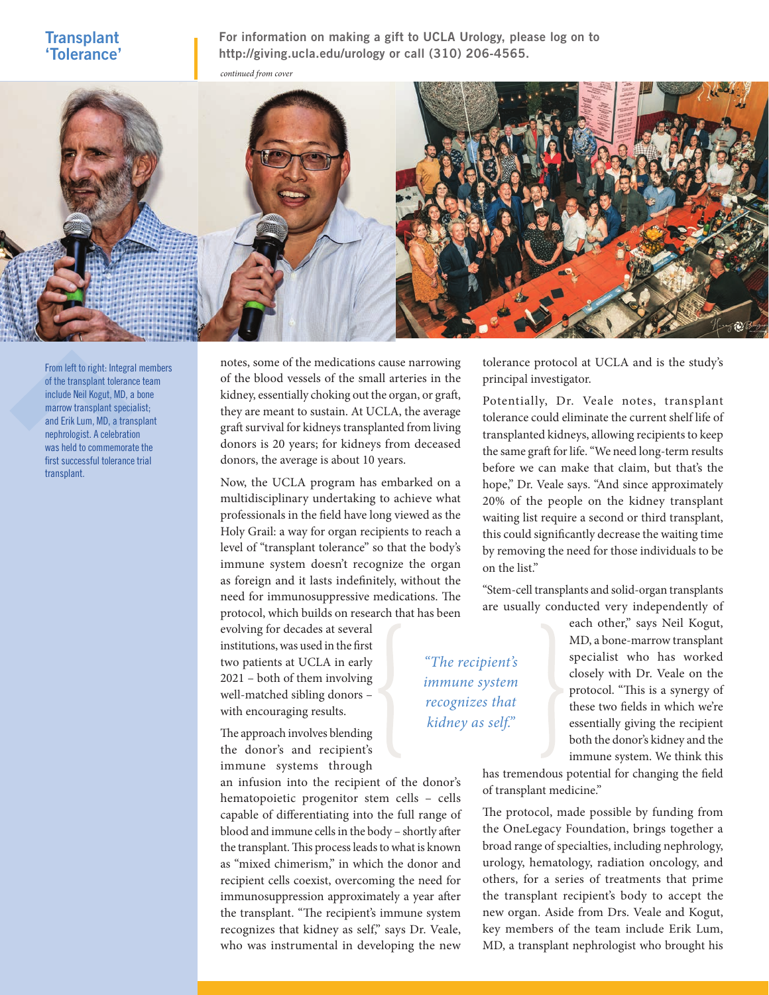#### **Transplant 'Tolerance'**

**For information on making a gift to UCLA Urology, please log on to http://giving.ucla.edu/urology or call (310) 206-4565.**



From left to right: Integral members of the transplant tolerance team include Neil Kogut, MD, a bone marrow transplant specialist; and Erik Lum, MD, a transplant nephrologist. A celebration was held to commemorate the first successful tolerance trial transplant.

notes, some of the medications cause narrowing of the blood vessels of the small arteries in the kidney, essentially choking out the organ, or graft, they are meant to sustain. At UCLA, the average graft survival for kidneys transplanted from living donors is 20 years; for kidneys from deceased donors, the average is about 10 years.

Now, the UCLA program has embarked on a multidisciplinary undertaking to achieve what professionals in the field have long viewed as the Holy Grail: a way for organ recipients to reach a level of "transplant tolerance" so that the body's immune system doesn't recognize the organ as foreign and it lasts indefinitely, without the need for immunosuppressive medications. The protocol, which builds on research that has been

evolving for decades at several institutions, was used in the first two patients at UCLA in early 2021 – both of them involving well-matched sibling donors – with encouraging results.

The approach involves blending the donor's and recipient's immune systems through

an infusion into the recipient of the donor's hematopoietic progenitor stem cells – cells capable of differentiating into the full range of blood and immune cells in the body – shortly after the transplant. This process leads to what is known as "mixed chimerism," in which the donor and recipient cells coexist, overcoming the need for immunosuppression approximately a year after the transplant. "The recipient's immune system recognizes that kidney as self," says Dr. Veale, who was instrumental in developing the new

tolerance protocol at UCLA and is the study's principal investigator.

Potentially, Dr. Veale notes, transplant tolerance could eliminate the current shelf life of transplanted kidneys, allowing recipients to keep the same graft for life. "We need long-term results before we can make that claim, but that's the hope," Dr. Veale says. "And since approximately 20% of the people on the kidney transplant waiting list require a second or third transplant, this could significantly decrease the waiting time by removing the need for those individuals to be on the list."

"Stem-cell transplants and solid-organ transplants are usually conducted very independently of

*"The recipient's immune system recognizes that kidney as self."*

each other," says Neil Kogut, MD, a bone-marrow transplant specialist who has worked closely with Dr. Veale on the protocol. "This is a synergy of these two fields in which we're essentially giving the recipient both the donor's kidney and the immune system. We think this

has tremendous potential for changing the field of transplant medicine."

The protocol, made possible by funding from the OneLegacy Foundation, brings together a broad range of specialties, including nephrology, urology, hematology, radiation oncology, and others, for a series of treatments that prime the transplant recipient's body to accept the new organ. Aside from Drs. Veale and Kogut, key members of the team include Erik Lum, MD, a transplant nephrologist who brought his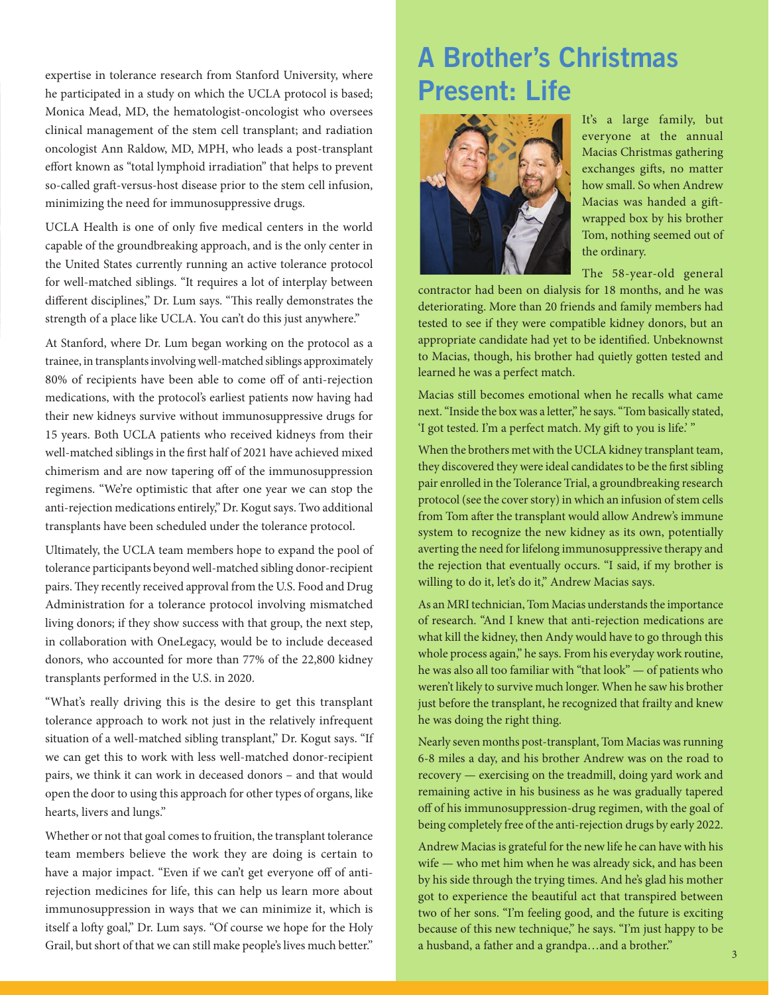expertise in tolerance research from Stanford University, where<br>he participated in a study on which the UCLA protocol is based; **Present: Life** Monica Mead, MD, the hematologist-oncologist who oversees clinical management of the stem cell transplant; and radiation oncologist Ann Raldow, MD, MPH, who leads a post-transplant effort known as "total lymphoid irradiation" that helps to prevent so-called graft-versus-host disease prior to the stem cell infusion, minimizing the need for immunosuppressive drugs.

UCLA Health is one of only five medical centers in the world capable of the groundbreaking approach, and is the only center in the United States currently running an active tolerance protocol for well-matched siblings. "It requires a lot of interplay between different disciplines," Dr. Lum says. "This really demonstrates the strength of a place like UCLA. You can't do this just anywhere."

At Stanford, where Dr. Lum began working on the protocol as a trainee, in transplants involving well-matched siblings approximately 80% of recipients have been able to come off of anti-rejection medications, with the protocol's earliest patients now having had their new kidneys survive without immunosuppressive drugs for 15 years. Both UCLA patients who received kidneys from their well-matched siblings in the first half of 2021 have achieved mixed chimerism and are now tapering off of the immunosuppression regimens. "We're optimistic that after one year we can stop the anti-rejection medications entirely," Dr. Kogut says. Two additional transplants have been scheduled under the tolerance protocol.

Ultimately, the UCLA team members hope to expand the pool of tolerance participants beyond well-matched sibling donor-recipient pairs. They recently received approval from the U.S. Food and Drug Administration for a tolerance protocol involving mismatched living donors; if they show success with that group, the next step, in collaboration with OneLegacy, would be to include deceased donors, who accounted for more than 77% of the 22,800 kidney transplants performed in the U.S. in 2020.

"What's really driving this is the desire to get this transplant tolerance approach to work not just in the relatively infrequent situation of a well-matched sibling transplant," Dr. Kogut says. "If we can get this to work with less well-matched donor-recipient pairs, we think it can work in deceased donors – and that would open the door to using this approach for other types of organs, like hearts, livers and lungs."

Whether or not that goal comes to fruition, the transplant tolerance team members believe the work they are doing is certain to have a major impact. "Even if we can't get everyone off of antirejection medicines for life, this can help us learn more about immunosuppression in ways that we can minimize it, which is itself a lofty goal," Dr. Lum says. "Of course we hope for the Holy Grail, but short of that we can still make people's lives much better." a husband, a father and a grandpa...and a brother."

# **A Brother's Christmas**



It's a large family, but everyone at the annual Macias Christmas gathering exchanges gifts, no matter how small. So when Andrew Macias was handed a giftwrapped box by his brother Tom, nothing seemed out of the ordinary.

The 58-year-old general

contractor had been on dialysis for 18 months, and he was deteriorating. More than 20 friends and family members had tested to see if they were compatible kidney donors, but an appropriate candidate had yet to be identified. Unbeknownst to Macias, though, his brother had quietly gotten tested and learned he was a perfect match.

Macias still becomes emotional when he recalls what came next. "Inside the box was a letter," he says. "Tom basically stated, 'I got tested. I'm a perfect match. My gift to you is life.' "

When the brothers met with the UCLA kidney transplant team, they discovered they were ideal candidates to be the first sibling pair enrolled in the Tolerance Trial, a groundbreaking research protocol (see the cover story) in which an infusion of stem cells from Tom after the transplant would allow Andrew's immune system to recognize the new kidney as its own, potentially averting the need for lifelong immunosuppressive therapy and the rejection that eventually occurs. "I said, if my brother is willing to do it, let's do it," Andrew Macias says.

As an MRI technician, Tom Macias understands the importance of research. "And I knew that anti-rejection medications are what kill the kidney, then Andy would have to go through this whole process again," he says. From his everyday work routine, he was also all too familiar with "that look" — of patients who weren't likely to survive much longer. When he saw his brother just before the transplant, he recognized that frailty and knew he was doing the right thing.

Nearly seven months post-transplant, Tom Macias was running 6-8 miles a day, and his brother Andrew was on the road to recovery — exercising on the treadmill, doing yard work and remaining active in his business as he was gradually tapered off of his immunosuppression-drug regimen, with the goal of being completely free of the anti-rejection drugs by early 2022.

Andrew Macias is grateful for the new life he can have with his wife — who met him when he was already sick, and has been by his side through the trying times. And he's glad his mother got to experience the beautiful act that transpired between two of her sons. "I'm feeling good, and the future is exciting because of this new technique," he says. "I'm just happy to be a husband, a father and a grandpa…and a brother."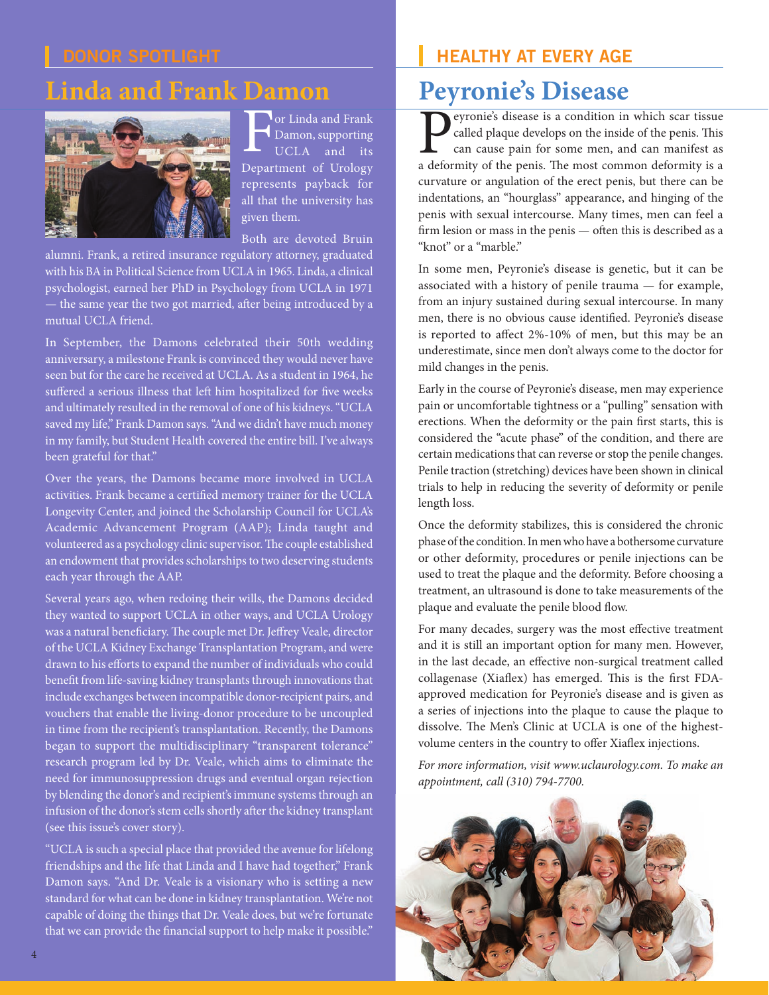### **Linda and Frank Damon**



For Linda and Frank Damon, supporting UCLA and its Department of Urology represents payback for all that the university has given them.

Both are devoted Bruin

alumni. Frank, a retired insurance regulatory attorney, graduated with his BA in Political Science from UCLA in 1965. Linda, a clinical psychologist, earned her PhD in Psychology from UCLA in 1971 — the same year the two got married, after being introduced by a mutual UCLA friend.

In September, the Damons celebrated their 50th wedding anniversary, a milestone Frank is convinced they would never have seen but for the care he received at UCLA. As a student in 1964, he suffered a serious illness that left him hospitalized for five weeks and ultimately resulted in the removal of one of his kidneys. "UCLA saved my life," Frank Damon says. "And we didn't have much money in my family, but Student Health covered the entire bill. I've always been grateful for that."

Over the years, the Damons became more involved in UCLA activities. Frank became a certified memory trainer for the UCLA Longevity Center, and joined the Scholarship Council for UCLA's Academic Advancement Program (AAP); Linda taught and volunteered as a psychology clinic supervisor. The couple established an endowment that provides scholarships to two deserving students each year through the AAP.

Several years ago, when redoing their wills, the Damons decided they wanted to support UCLA in other ways, and UCLA Urology was a natural beneficiary. The couple met Dr. Jeffrey Veale, director of the UCLA Kidney Exchange Transplantation Program, and were drawn to his efforts to expand the number of individuals who could benefit from life-saving kidney transplants through innovations that include exchanges between incompatible donor-recipient pairs, and vouchers that enable the living-donor procedure to be uncoupled in time from the recipient's transplantation. Recently, the Damons began to support the multidisciplinary "transparent tolerance" research program led by Dr. Veale, which aims to eliminate the need for immunosuppression drugs and eventual organ rejection by blending the donor's and recipient's immune systems through an infusion of the donor's stem cells shortly after the kidney transplant (see this issue's cover story).

"UCLA is such a special place that provided the avenue for lifelong friendships and the life that Linda and I have had together," Frank Damon says. "And Dr. Veale is a visionary who is setting a new standard for what can be done in kidney transplantation. We're not capable of doing the things that Dr. Veale does, but we're fortunate that we can provide the financial support to help make it possible."

### **HEALTHY AT EVERY AGE**

### **Peyronie's Disease**

eyronie's disease is a condition in which scar tissue called plaque develops on the inside of the penis. This can cause pain for some men, and can manifest as a deformity of the penis. The most common deformity is a curvature or angulation of the erect penis, but there can be indentations, an "hourglass" appearance, and hinging of the penis with sexual intercourse. Many times, men can feel a firm lesion or mass in the penis — often this is described as a "knot" or a "marble."

In some men, Peyronie's disease is genetic, but it can be associated with a history of penile trauma — for example, from an injury sustained during sexual intercourse. In many men, there is no obvious cause identified. Peyronie's disease is reported to affect 2%-10% of men, but this may be an underestimate, since men don't always come to the doctor for mild changes in the penis.

Early in the course of Peyronie's disease, men may experience pain or uncomfortable tightness or a "pulling" sensation with erections. When the deformity or the pain first starts, this is considered the "acute phase" of the condition, and there are certain medications that can reverse or stop the penile changes. Penile traction (stretching) devices have been shown in clinical trials to help in reducing the severity of deformity or penile length loss.

Once the deformity stabilizes, this is considered the chronic phase of the condition. In men who have a bothersome curvature or other deformity, procedures or penile injections can be used to treat the plaque and the deformity. Before choosing a treatment, an ultrasound is done to take measurements of the plaque and evaluate the penile blood flow.

For many decades, surgery was the most effective treatment and it is still an important option for many men. However, in the last decade, an effective non-surgical treatment called collagenase (Xiaflex) has emerged. This is the first FDAapproved medication for Peyronie's disease and is given as a series of injections into the plaque to cause the plaque to dissolve. The Men's Clinic at UCLA is one of the highestvolume centers in the country to offer Xiaflex injections.

*For more information, visit www.uclaurology.com. To make an appointment, call (310) 794-7700.*

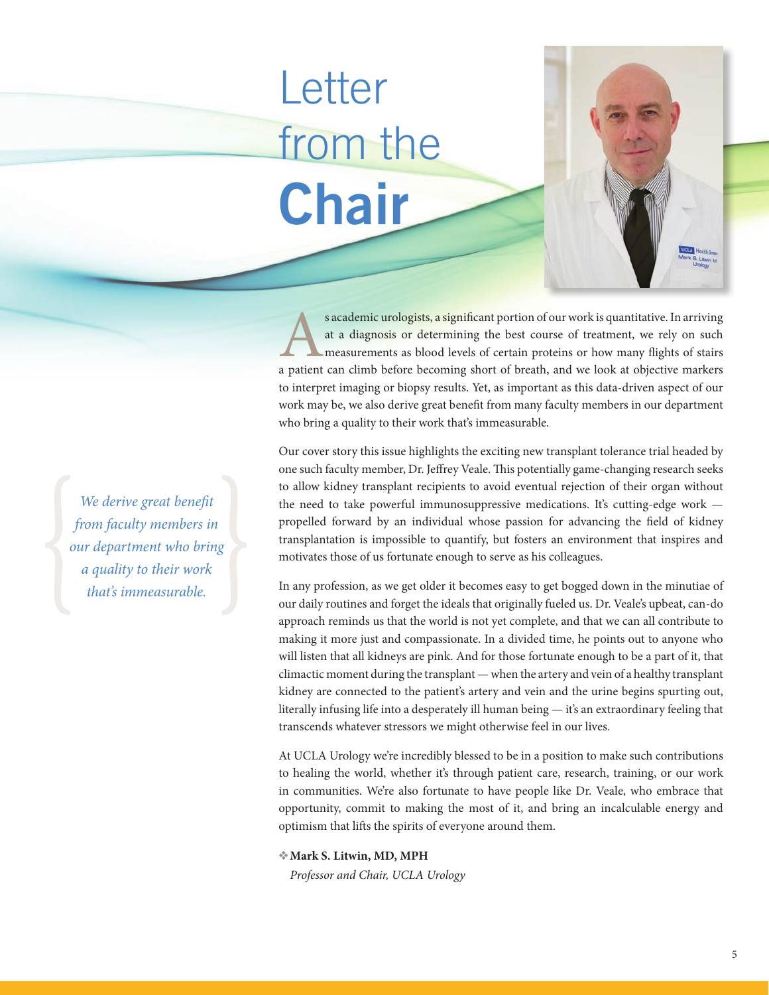## **Letter** from the **Chair**

s academic urologists, a significant portion of our work is quantitative. In arriving<br>at a diagnosis or determining the best course of treatment, we rely on such<br>measurements as blood levels of certain proteins or how many at a diagnosis or determining the best course of treatment, we rely on such measurements as blood levels of certain proteins or how many flights of stairs a patient can climb before becoming short of breath, and we look at objective markers to interpret imaging or biopsy results. Yet, as important as this data-driven aspect of our work may be, we also derive great benefit from many faculty members in our department who bring a quality to their work that's immeasurable.

Our cover story this issue highlights the exciting new transplant tolerance trial headed by one such faculty member, Dr. Jeffrey Veale. This potentially game-changing research seeks to allow kidney transplant recipients to avoid eventual rejection of their organ without the need to take powerful immunosuppressive medications. It's cutting-edge work propelled forward by an individual whose passion for advancing the field of kidney transplantation is impossible to quantify, but fosters an environment that inspires and motivates those of us fortunate enough to serve as his colleagues.

In any profession, as we get older it becomes easy to get bogged down in the minutiae of our daily routines and forget the ideals that originally fueled us. Dr. Veale's upbeat, can-do approach reminds us that the world is not yet complete, and that we can all contribute to making it more just and compassionate. In a divided time, he points out to anyone who will listen that all kidneys are pink. And for those fortunate enough to be a part of it, that climactic moment during the transplant — when the artery and vein of a healthy transplant kidney are connected to the patient's artery and vein and the urine begins spurting out, literally infusing life into a desperately ill human being — it's an extraordinary feeling that transcends whatever stressors we might otherwise feel in our lives.

At UCLA Urology we're incredibly blessed to be in a position to make such contributions to healing the world, whether it's through patient care, research, training, or our work in communities. We're also fortunate to have people like Dr. Veale, who embrace that opportunity, commit to making the most of it, and bring an incalculable energy and optimism that lifts the spirits of everyone around them.

❖**Mark S. Litwin, MD, MPH** *Professor and Chair, UCLA Urology*

*We derive great benefit from faculty members in our department who bring a quality to their work that's immeasurable.*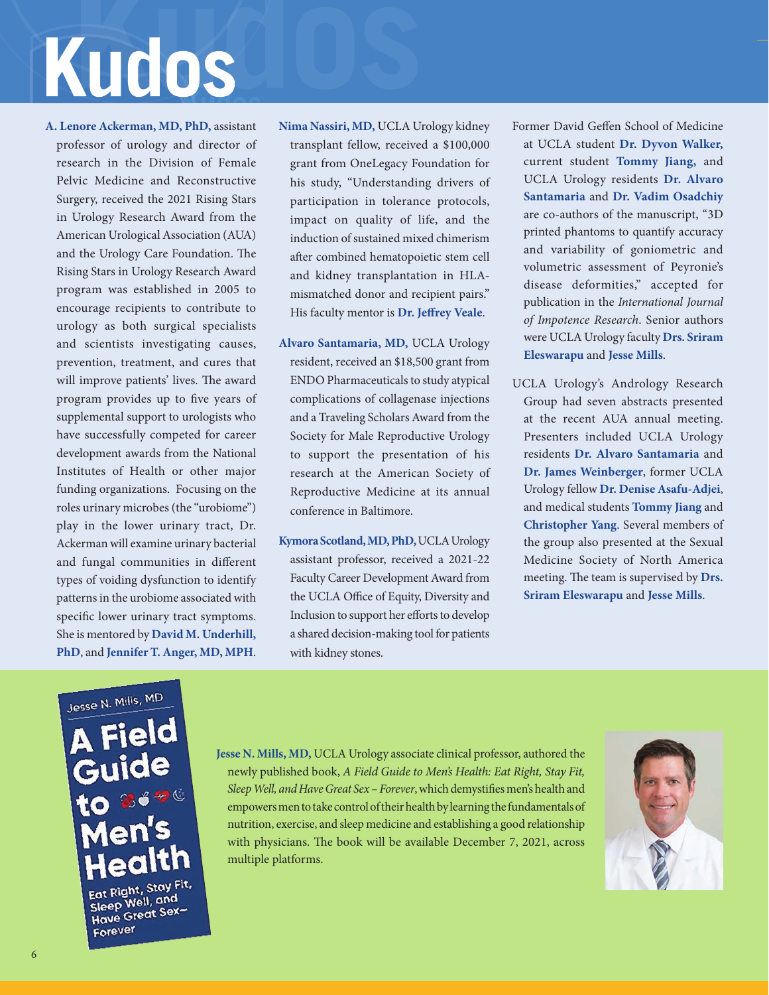# Kudos

**A. Lenore Ackerman, MD, PhD,** assistant professor of urology and director of research in the Division of Female Pelvic Medicine and Reconstructive Surgery, received the 2021 Rising Stars in Urology Research Award from the American Urological Association (AUA) and the Urology Care Foundation. The Rising Stars in Urology Research Award program was established in 2005 to encourage recipients to contribute to urology as both surgical specialists and scientists investigating causes, prevention, treatment, and cures that will improve patients' lives. The award program provides up to five years of supplemental support to urologists who have successfully competed for career development awards from the National Institutes of Health or other major funding organizations. Focusing on the roles urinary microbes (the "urobiome") play in the lower urinary tract, Dr. Ackerman will examine urinary bacterial and fungal communities in different types of voiding dysfunction to identify patterns in the urobiome associated with specific lower urinary tract symptoms. She is mentored by **David M. Underhill, PhD**, and **Jennifer T. Anger, MD, MPH**.

- **Nima Nassiri, MD,** UCLA Urology kidney transplant fellow, received a \$100,000 grant from OneLegacy Foundation for his study, "Understanding drivers of participation in tolerance protocols, impact on quality of life, and the induction of sustained mixed chimerism after combined hematopoietic stem cell and kidney transplantation in HLAmismatched donor and recipient pairs." His faculty mentor is **Dr. Jeffrey Veale**.
- **Alvaro Santamaria, MD,** UCLA Urology resident, received an \$18,500 grant from ENDO Pharmaceuticals to study atypical complications of collagenase injections and a Traveling Scholars Award from the Society for Male Reproductive Urology to support the presentation of his research at the American Society of Reproductive Medicine at its annual conference in Baltimore.
- **Kymora Scotland, MD, PhD,** UCLA Urology assistant professor, received a 2021-22 Faculty Career Development Award from the UCLA Office of Equity, Diversity and Inclusion to support her efforts to develop a shared decision-making tool for patients with kidney stones.

Former David Geffen School of Medicine at UCLA student **Dr. Dyvon Walker,** current student **Tommy Jiang,** and UCLA Urology residents **Dr. Alvaro Santamaria** and **Dr. Vadim Osadchiy** are co-authors of the manuscript, "3D printed phantoms to quantify accuracy and variability of goniometric and volumetric assessment of Peyronie's disease deformities," accepted for publication in the *International Journal of Impotence Research*. Senior authors were UCLA Urology faculty **Drs. Sriram Eleswarapu** and **Jesse Mills**.

UCLA Urology's Andrology Research Group had seven abstracts presented at the recent AUA annual meeting. Presenters included UCLA Urology residents **Dr. Alvaro Santamaria** and **Dr. James Weinberger**, former UCLA Urology fellow **Dr. Denise Asafu-Adjei**, and medical students **Tommy Jiang** and **Christopher Yang**. Several members of the group also presented at the Sexual Medicine Society of North America meeting. The team is supervised by **Drs. Sriram Eleswarapu** and **Jesse Mills**.

Jesse N. Mills, MD **Field** Guide **Jen's** ealth Eat Right, Stay Fit, Eat Right, 3007 Sleep Well, and<br>Have Great Sex-Forever

**Jesse N. Mills, MD,** UCLA Urology associate clinical professor, authored the newly published book, *A Field Guide to Men's Health: Eat Right, Stay Fit, Sleep Well, and Have Great Sex* – *Forever*, which demystifies men's health and empowers men to take control of their health by learning the fundamentals of nutrition, exercise, and sleep medicine and establishing a good relationship with physicians. The book will be available December 7, 2021, across multiple platforms.

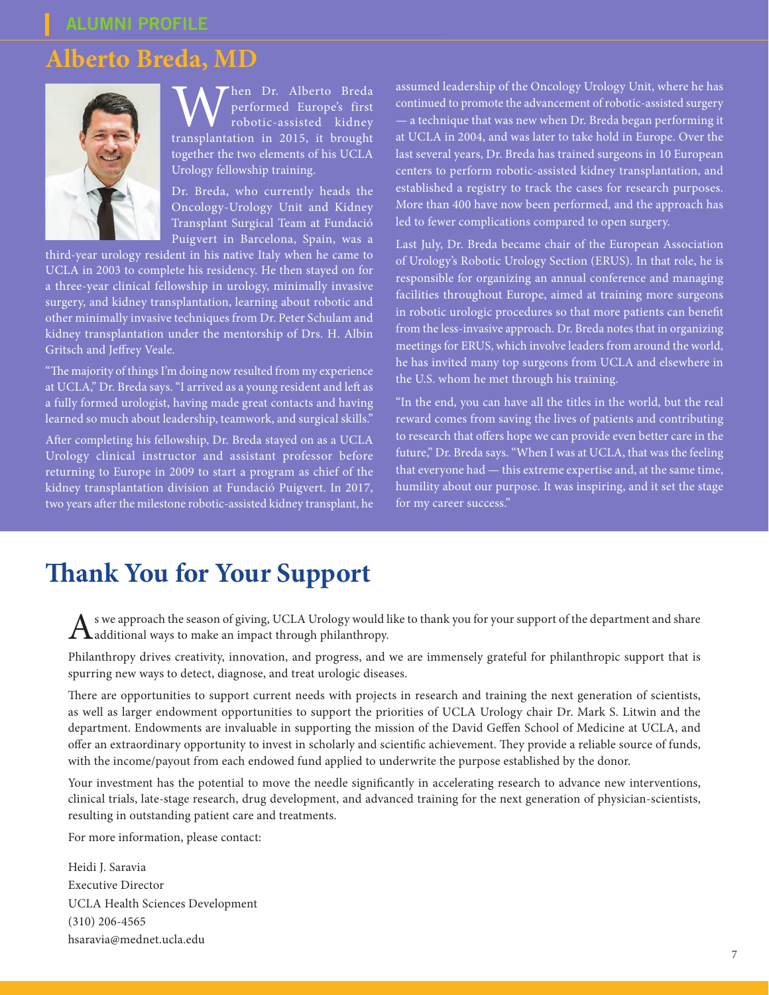### **Alberto Breda, MD**



When Dr. Alberto Breda transplantation in 2015, it brought performed Europe's first robotic-assisted kidney together the two elements of his UCLA Urology fellowship training.

Dr. Breda, who currently heads the Oncology-Urology Unit and Kidney Transplant Surgical Team at Fundació Puigvert in Barcelona, Spain, was a

third-year urology resident in his native Italy when he came to UCLA in 2003 to complete his residency. He then stayed on for a three-year clinical fellowship in urology, minimally invasive surgery, and kidney transplantation, learning about robotic and other minimally invasive techniques from Dr. Peter Schulam and kidney transplantation under the mentorship of Drs. H. Albin Gritsch and Jeffrey Veale.

"The majority of things I'm doing now resulted from my experience at UCLA," Dr. Breda says. "I arrived as a young resident and left as a fully formed urologist, having made great contacts and having learned so much about leadership, teamwork, and surgical skills."

After completing his fellowship, Dr. Breda stayed on as a UCLA Urology clinical instructor and assistant professor before returning to Europe in 2009 to start a program as chief of the kidney transplantation division at Fundació Puigvert. In 2017, two years after the milestone robotic-assisted kidney transplant, he assumed leadership of the Oncology Urology Unit, where he has continued to promote the advancement of robotic-assisted surgery — a technique that was new when Dr. Breda began performing it at UCLA in 2004, and was later to take hold in Europe. Over the last several years, Dr. Breda has trained surgeons in 10 European centers to perform robotic-assisted kidney transplantation, and established a registry to track the cases for research purposes. More than 400 have now been performed, and the approach has led to fewer complications compared to open surgery.

Last July, Dr. Breda became chair of the European Association of Urology's Robotic Urology Section (ERUS). In that role, he is responsible for organizing an annual conference and managing facilities throughout Europe, aimed at training more surgeons in robotic urologic procedures so that more patients can benefit from the less-invasive approach. Dr. Breda notes that in organizing meetings for ERUS, which involve leaders from around the world, he has invited many top surgeons from UCLA and elsewhere in the U.S. whom he met through his training.

"In the end, you can have all the titles in the world, but the real reward comes from saving the lives of patients and contributing to research that offers hope we can provide even better care in the future," Dr. Breda says. "When I was at UCLA, that was the feeling that everyone had — this extreme expertise and, at the same time, humility about our purpose. It was inspiring, and it set the stage for my career success."

### **Thank You for Your Support**

 $\Lambda$ s we approach the season of giving, UCLA Urology would like to thank you for your support of the department and share and share and share and share and share and share and share and share and share and share and share

Philanthropy drives creativity, innovation, and progress, and we are immensely grateful for philanthropic support that is spurring new ways to detect, diagnose, and treat urologic diseases.

There are opportunities to support current needs with projects in research and training the next generation of scientists, as well as larger endowment opportunities to support the priorities of UCLA Urology chair Dr. Mark S. Litwin and the department. Endowments are invaluable in supporting the mission of the David Geffen School of Medicine at UCLA, and offer an extraordinary opportunity to invest in scholarly and scientific achievement. They provide a reliable source of funds, with the income/payout from each endowed fund applied to underwrite the purpose established by the donor.

Your investment has the potential to move the needle significantly in accelerating research to advance new interventions, clinical trials, late-stage research, drug development, and advanced training for the next generation of physician-scientists, resulting in outstanding patient care and treatments.

For more information, please contact:

Heidi J. Saravia Executive Director UCLA Health Sciences Development (310) 206-4565 hsaravia@mednet.ucla.edu